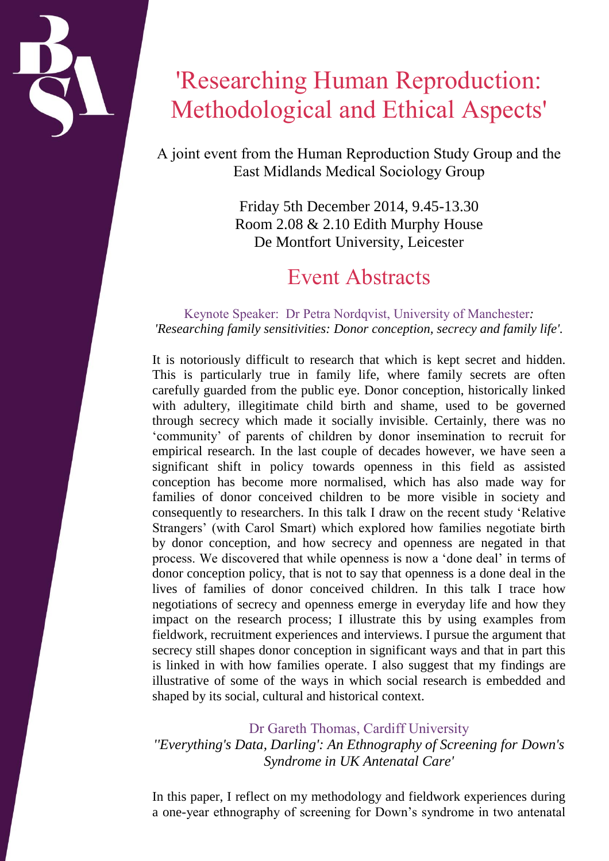# 'Researching Human Reproduction: Methodological and Ethical Aspects'

A joint event from the Human Reproduction Study Group and the East Midlands Medical Sociology Group

> Friday 5th December 2014, 9.45-13.30 Room 2.08 & 2.10 Edith Murphy House De Montfort University, Leicester

## Event Abstracts

#### Keynote Speaker: Dr Petra Nordqvist, University of Manchester*: 'Researching family sensitivities: Donor conception, secrecy and family life'.*

It is notoriously difficult to research that which is kept secret and hidden. This is particularly true in family life, where family secrets are often carefully guarded from the public eye. Donor conception, historically linked with adultery, illegitimate child birth and shame, used to be governed through secrecy which made it socially invisible. Certainly, there was no 'community' of parents of children by donor insemination to recruit for empirical research. In the last couple of decades however, we have seen a significant shift in policy towards openness in this field as assisted conception has become more normalised, which has also made way for families of donor conceived children to be more visible in society and consequently to researchers. In this talk I draw on the recent study 'Relative Strangers' (with Carol Smart) which explored how families negotiate birth by donor conception, and how secrecy and openness are negated in that process. We discovered that while openness is now a 'done deal' in terms of donor conception policy, that is not to say that openness is a done deal in the lives of families of donor conceived children. In this talk I trace how negotiations of secrecy and openness emerge in everyday life and how they impact on the research process; I illustrate this by using examples from fieldwork, recruitment experiences and interviews. I pursue the argument that secrecy still shapes donor conception in significant ways and that in part this is linked in with how families operate. I also suggest that my findings are illustrative of some of the ways in which social research is embedded and shaped by its social, cultural and historical context.

### Dr Gareth Thomas, Cardiff University

*''Everything's Data, Darling': An Ethnography of Screening for Down's Syndrome in UK Antenatal Care'*

In this paper, I reflect on my methodology and fieldwork experiences during a one-year ethnography of screening for Down's syndrome in two antenatal